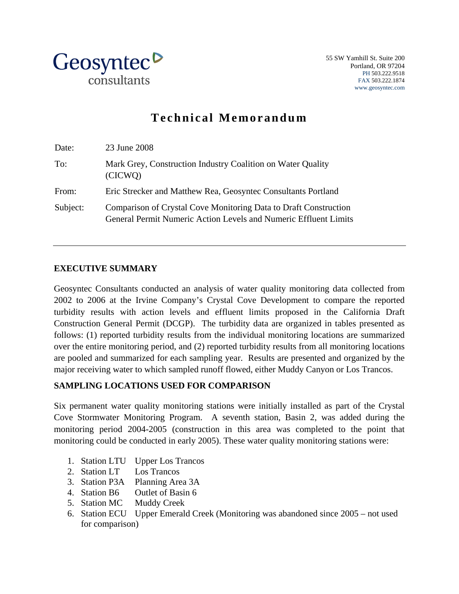

# **Technical Memorandum**

| Date:    | 23 June 2008                                                                                                                         |
|----------|--------------------------------------------------------------------------------------------------------------------------------------|
| To:      | Mark Grey, Construction Industry Coalition on Water Quality<br>(CICWO)                                                               |
| From:    | Eric Strecker and Matthew Rea, Geosyntec Consultants Portland                                                                        |
| Subject: | Comparison of Crystal Cove Monitoring Data to Draft Construction<br>General Permit Numeric Action Levels and Numeric Effluent Limits |

## **EXECUTIVE SUMMARY**

Geosyntec Consultants conducted an analysis of water quality monitoring data collected from 2002 to 2006 at the Irvine Company's Crystal Cove Development to compare the reported turbidity results with action levels and effluent limits proposed in the California Draft Construction General Permit (DCGP). The turbidity data are organized in tables presented as follows: (1) reported turbidity results from the individual monitoring locations are summarized over the entire monitoring period, and (2) reported turbidity results from all monitoring locations are pooled and summarized for each sampling year. Results are presented and organized by the major receiving water to which sampled runoff flowed, either Muddy Canyon or Los Trancos.

## **SAMPLING LOCATIONS USED FOR COMPARISON**

Six permanent water quality monitoring stations were initially installed as part of the Crystal Cove Stormwater Monitoring Program. A seventh station, Basin 2, was added during the monitoring period 2004-2005 (construction in this area was completed to the point that monitoring could be conducted in early 2005). These water quality monitoring stations were:

- 1. Station LTU Upper Los Trancos
- 2. Station LT Los Trancos
- 3. Station P3A Planning Area 3A
- 4. Station B6 Outlet of Basin 6
- 5. Station MC Muddy Creek
- 6. Station ECU Upper Emerald Creek (Monitoring was abandoned since 2005 not used for comparison)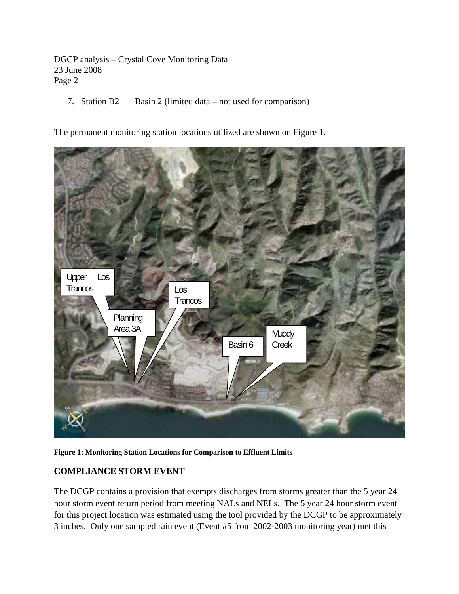7. Station B2 Basin 2 (limited data – not used for comparison)

The permanent monitoring station locations utilized are shown on Figure 1.



**Figure 1: Monitoring Station Locations for Comparison to Effluent Limits** 

## **COMPLIANCE STORM EVENT**

The DCGP contains a provision that exempts discharges from storms greater than the 5 year 24 hour storm event return period from meeting NALs and NELs. The 5 year 24 hour storm event for this project location was estimated using the tool provided by the DCGP to be approximately 3 inches. Only one sampled rain event (Event #5 from 2002-2003 monitoring year) met this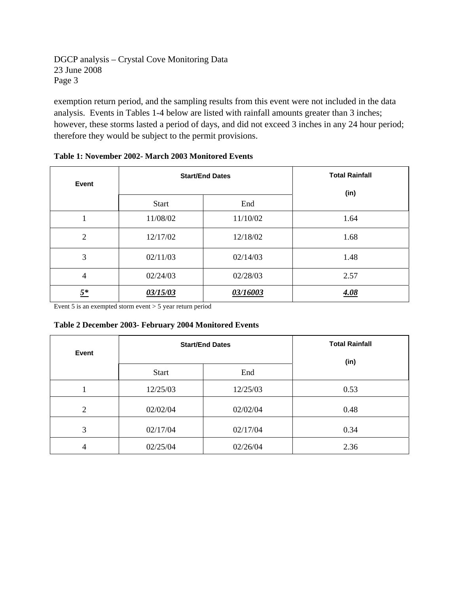exemption return period, and the sampling results from this event were not included in the data analysis. Events in Tables 1-4 below are listed with rainfall amounts greater than 3 inches; however, these storms lasted a period of days, and did not exceed 3 inches in any 24 hour period; therefore they would be subject to the permit provisions.

| Event          |              | <b>Start/End Dates</b> | <b>Total Rainfall</b> |
|----------------|--------------|------------------------|-----------------------|
|                | <b>Start</b> | End                    | (in)                  |
| $\mathbf{1}$   | 11/08/02     | 11/10/02               | 1.64                  |
| $\overline{2}$ | 12/17/02     | 12/18/02               | 1.68                  |
| 3              | 02/11/03     | 02/14/03               | 1.48                  |
| $\overline{4}$ | 02/24/03     | 02/28/03               | 2.57                  |
| $5^*$          | 03/15/03     | 03/16003               | 4.08                  |

#### **Table 1: November 2002- March 2003 Monitored Events**

Event 5 is an exempted storm event  $> 5$  year return period

#### **Table 2 December 2003- February 2004 Monitored Events**

| Event          |              | <b>Start/End Dates</b> | <b>Total Rainfall</b><br>(in) |  |
|----------------|--------------|------------------------|-------------------------------|--|
|                | End<br>Start |                        |                               |  |
|                | 12/25/03     | 12/25/03               | 0.53                          |  |
| $\overline{2}$ | 02/02/04     | 02/02/04               | 0.48                          |  |
| 3              | 02/17/04     | 02/17/04               | 0.34                          |  |
| 4              | 02/25/04     | 02/26/04               | 2.36                          |  |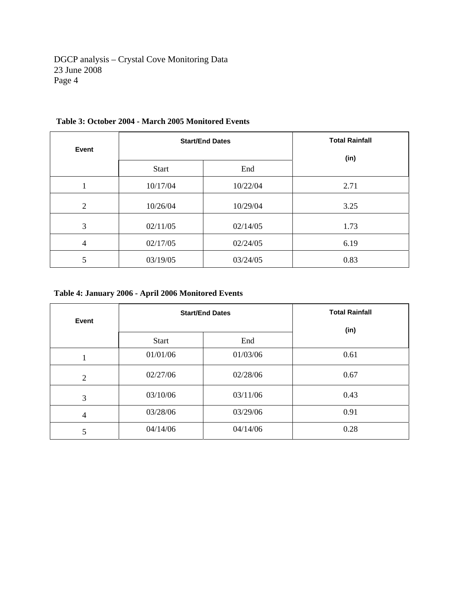| Event |              | <b>Start/End Dates</b> | <b>Total Rainfall</b><br>(in) |
|-------|--------------|------------------------|-------------------------------|
|       | <b>Start</b> | End                    |                               |
|       | 10/17/04     | 10/22/04               | 2.71                          |
| 2     | 10/26/04     | 10/29/04               | 3.25                          |
| 3     | 02/11/05     | 02/14/05               | 1.73                          |
| 4     | 02/17/05     | 02/24/05               | 6.19                          |
| 5     | 03/19/05     | 03/24/05               | 0.83                          |

## **Table 3: October 2004 - March 2005 Monitored Events**

## **Table 4: January 2006 - April 2006 Monitored Events**

| Event          | <b>Start/End Dates</b> | <b>Total Rainfall</b> |      |
|----------------|------------------------|-----------------------|------|
|                |                        | (in)                  |      |
|                | <b>Start</b>           | End                   |      |
|                | 01/01/06               | 01/03/06              | 0.61 |
| $\overline{2}$ | 02/27/06               | 02/28/06              | 0.67 |
| 3              | 03/10/06               | 03/11/06              | 0.43 |
| 4              | 03/28/06               | 03/29/06              | 0.91 |
| 5              | 04/14/06               | 04/14/06              | 0.28 |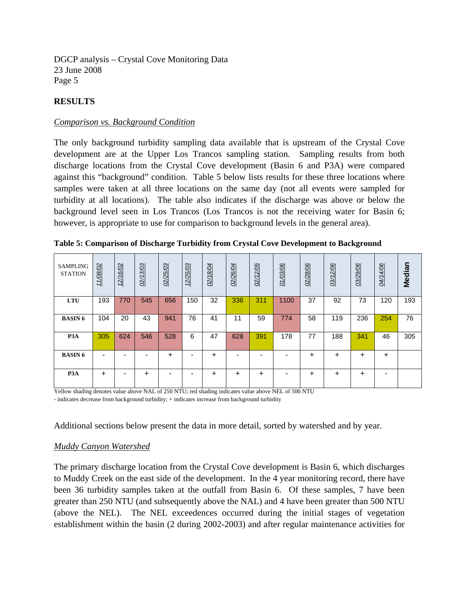## **RESULTS**

#### *Comparison vs. Background Condition*

The only background turbidity sampling data available that is upstream of the Crystal Cove development are at the Upper Los Trancos sampling station. Sampling results from both discharge locations from the Crystal Cove development (Basin 6 and P3A) were compared against this "background" condition. Table 5 below lists results for these three locations where samples were taken at all three locations on the same day (not all events were sampled for turbidity at all locations). The table also indicates if the discharge was above or below the background level seen in Los Trancos (Los Trancos is not the receiving water for Basin 6; however, is appropriate to use for comparison to background levels in the general area).

|  |  | Table 5: Comparison of Discharge Turbidity from Crystal Cove Development to Background |  |
|--|--|----------------------------------------------------------------------------------------|--|
|  |  |                                                                                        |  |

| <b>SAMPLING</b><br><b>STATION</b> | 11/08/02  | /16/02<br>12 | 02/13/03 | 02/25/03 | 12/25/03 | 02/18/04  | 02/26/04 | 02/12/05 | 01/03/06 | 02/28/06 | 03/12/06 | 03/29/06  | 04/14/06 | <b>Median</b> |
|-----------------------------------|-----------|--------------|----------|----------|----------|-----------|----------|----------|----------|----------|----------|-----------|----------|---------------|
| LTU                               | 193       | 770          | 545      | 656      | 150      | 32        | 336      | 311      | 1100     | 37       | 92       | 73        | 120      | 193           |
| <b>BASIN6</b>                     | 104       | 20           | 43       | 941      | 76       | 41        | 11       | 59       | 774      | 58       | 119      | 236       | 254      | 76            |
| P <sub>3</sub> A                  | 305       | 624          | 546      | 528      | 6        | 47        | 628      | 391      | 178      | 77       | 188      | 341       | 46       | 305           |
| <b>BASIN6</b>                     | -         | ۰            |          | +        |          | ÷         |          |          |          | ÷        | +        | $\ddot{}$ | ÷        |               |
| P <sub>3</sub> A                  | $\ddot{}$ | -            | ÷        |          | ۰        | $\ddot{}$ | +        | ÷        | ۰        | ÷        | +        | $\ddot{}$ |          |               |

Yellow shading denotes value above NAL of 250 NTU; red shading indicates value above NEL of 500 NTU - indicates decrease from background turbidity; + indicates increase from background turbidity

Additional sections below present the data in more detail, sorted by watershed and by year.

#### *Muddy Canyon Watershed*

The primary discharge location from the Crystal Cove development is Basin 6, which discharges to Muddy Creek on the east side of the development. In the 4 year monitoring record, there have been 36 turbidity samples taken at the outfall from Basin 6. Of these samples, 7 have been greater than 250 NTU (and subsequently above the NAL) and 4 have been greater than 500 NTU (above the NEL). The NEL exceedences occurred during the initial stages of vegetation establishment within the basin (2 during 2002-2003) and after regular maintenance activities for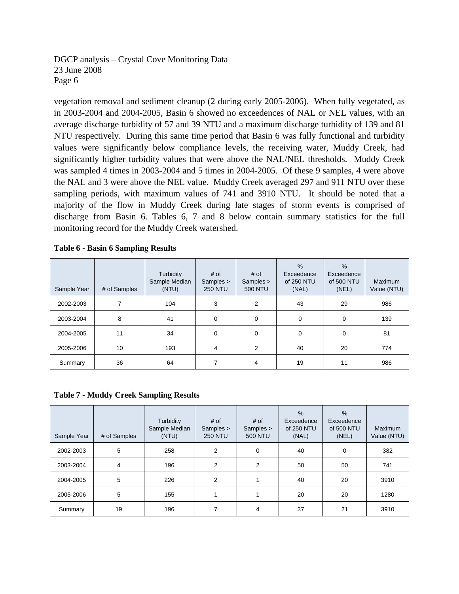vegetation removal and sediment cleanup (2 during early 2005-2006). When fully vegetated, as in 2003-2004 and 2004-2005, Basin 6 showed no exceedences of NAL or NEL values, with an average discharge turbidity of 57 and 39 NTU and a maximum discharge turbidity of 139 and 81 NTU respectively. During this same time period that Basin 6 was fully functional and turbidity values were significantly below compliance levels, the receiving water, Muddy Creek, had significantly higher turbidity values that were above the NAL/NEL thresholds. Muddy Creek was sampled 4 times in 2003-2004 and 5 times in 2004-2005. Of these 9 samples, 4 were above the NAL and 3 were above the NEL value. Muddy Creek averaged 297 and 911 NTU over these sampling periods, with maximum values of 741 and 3910 NTU. It should be noted that a majority of the flow in Muddy Creek during late stages of storm events is comprised of discharge from Basin 6. Tables 6, 7 and 8 below contain summary statistics for the full monitoring record for the Muddy Creek watershed.

#### **Table 6 - Basin 6 Sampling Results**

| Sample Year | # of Samples | Turbidity<br>Sample Median<br>(NTU) | # of<br>Samples ><br><b>250 NTU</b> | # of<br>Samples ><br><b>500 NTU</b> | $\%$<br>Exceedence<br>of 250 NTU<br>(NAL) | $\%$<br>Exceedence<br>of 500 NTU<br>(NEL) | Maximum<br>Value (NTU) |
|-------------|--------------|-------------------------------------|-------------------------------------|-------------------------------------|-------------------------------------------|-------------------------------------------|------------------------|
| 2002-2003   | 7            | 104                                 | 3                                   | 2                                   | 43                                        | 29                                        | 986                    |
| 2003-2004   | 8            | 41                                  | 0                                   | $\mathbf 0$                         | 0                                         | 0                                         | 139                    |
| 2004-2005   | 11           | 34                                  | 0                                   | $\Omega$                            | 0                                         | 0                                         | 81                     |
| 2005-2006   | 10           | 193                                 | 4                                   | 2                                   | 40                                        | 20                                        | 774                    |
| Summary     | 36           | 64                                  | 7                                   | 4                                   | 19                                        | 11                                        | 986                    |

**Table 7 - Muddy Creek Sampling Results** 

| Sample Year | # of Samples | Turbidity<br>Sample Median<br>(NTU) | # of<br>Samples ><br><b>250 NTU</b> | # of<br>Samples ><br><b>500 NTU</b> | $\frac{0}{0}$<br>Exceedence<br>of 250 NTU<br>(NAL) | $\%$<br>Exceedence<br>of 500 NTU<br>(NEL) | <b>Maximum</b><br>Value (NTU) |
|-------------|--------------|-------------------------------------|-------------------------------------|-------------------------------------|----------------------------------------------------|-------------------------------------------|-------------------------------|
| 2002-2003   | 5            | 258                                 | 2                                   | 0                                   | 40                                                 | 0                                         | 382                           |
| 2003-2004   | 4            | 196                                 | 2                                   | 2                                   | 50                                                 | 50                                        | 741                           |
| 2004-2005   | 5            | 226                                 | 2                                   |                                     | 40                                                 | 20                                        | 3910                          |
| 2005-2006   | 5            | 155                                 |                                     |                                     | 20                                                 | 20                                        | 1280                          |
| Summary     | 19           | 196                                 | 7                                   | 4                                   | 37                                                 | 21                                        | 3910                          |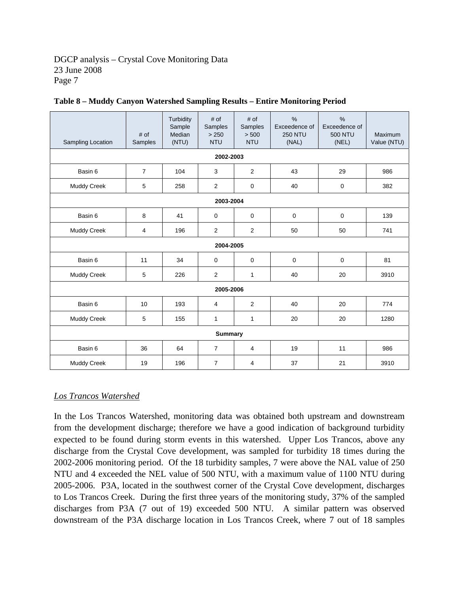| Sampling Location  | # of<br>Samples | Turbidity<br>Sample<br>Median<br>(NTU) | # of<br>Samples<br>> 250<br><b>NTU</b> | # of<br>Samples<br>> 500<br><b>NTU</b> | $\%$<br>Exceedence of<br><b>250 NTU</b><br>(NAL) | $\frac{0}{0}$<br>Exceedence of<br><b>500 NTU</b><br>(NEL) | Maximum<br>Value (NTU) |  |  |  |
|--------------------|-----------------|----------------------------------------|----------------------------------------|----------------------------------------|--------------------------------------------------|-----------------------------------------------------------|------------------------|--|--|--|
| 2002-2003          |                 |                                        |                                        |                                        |                                                  |                                                           |                        |  |  |  |
| Basin 6            | $\overline{7}$  | 104                                    | 3                                      | 2                                      | 43                                               | 29                                                        | 986                    |  |  |  |
| Muddy Creek        | 5               | 258                                    | $\overline{2}$                         | 0                                      | 40                                               | 0                                                         | 382                    |  |  |  |
|                    |                 |                                        | 2003-2004                              |                                        |                                                  |                                                           |                        |  |  |  |
| Basin 6            | 8               | 41                                     | $\mathbf 0$                            | 0                                      | 0                                                | $\mathbf 0$                                               | 139                    |  |  |  |
| <b>Muddy Creek</b> | 4               | 196                                    | 2                                      | $\overline{2}$                         | 50                                               | 50                                                        | 741                    |  |  |  |
|                    |                 |                                        | 2004-2005                              |                                        |                                                  |                                                           |                        |  |  |  |
| Basin 6            | 11              | 34                                     | $\mathbf 0$                            | 0                                      | $\mathbf 0$                                      | 0                                                         | 81                     |  |  |  |
| Muddy Creek        | 5               | 226                                    | 2                                      | 1                                      | 40                                               | 20                                                        | 3910                   |  |  |  |
|                    |                 |                                        | 2005-2006                              |                                        |                                                  |                                                           |                        |  |  |  |
| Basin 6            | 10              | 193                                    | $\overline{4}$                         | $\overline{2}$                         | 40                                               | 20                                                        | 774                    |  |  |  |
| <b>Muddy Creek</b> | 5               | 155                                    | 1                                      | 1                                      | 20                                               | 20                                                        | 1280                   |  |  |  |
|                    |                 |                                        | <b>Summary</b>                         |                                        |                                                  |                                                           |                        |  |  |  |
| Basin 6            | 36              | 64                                     | $\overline{7}$                         | 4                                      | 19                                               | 11                                                        | 986                    |  |  |  |
| <b>Muddy Creek</b> | 19              | 196                                    | $\overline{7}$                         | 4                                      | 37                                               | 21                                                        | 3910                   |  |  |  |

|  |  |  | Table 8 - Muddy Canyon Watershed Sampling Results - Entire Monitoring Period |  |
|--|--|--|------------------------------------------------------------------------------|--|
|  |  |  |                                                                              |  |

## *Los Trancos Watershed*

In the Los Trancos Watershed, monitoring data was obtained both upstream and downstream from the development discharge; therefore we have a good indication of background turbidity expected to be found during storm events in this watershed. Upper Los Trancos, above any discharge from the Crystal Cove development, was sampled for turbidity 18 times during the 2002-2006 monitoring period. Of the 18 turbidity samples, 7 were above the NAL value of 250 NTU and 4 exceeded the NEL value of 500 NTU, with a maximum value of 1100 NTU during 2005-2006. P3A, located in the southwest corner of the Crystal Cove development, discharges to Los Trancos Creek. During the first three years of the monitoring study, 37% of the sampled discharges from P3A (7 out of 19) exceeded 500 NTU. A similar pattern was observed downstream of the P3A discharge location in Los Trancos Creek, where 7 out of 18 samples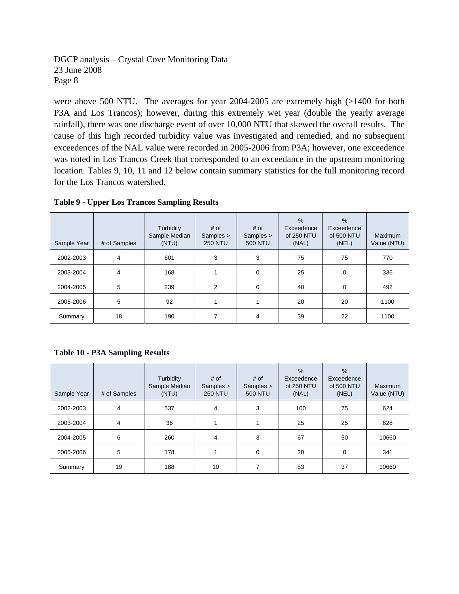were above 500 NTU. The averages for year 2004-2005 are extremely high (>1400 for both P3A and Los Trancos); however, during this extremely wet year (double the yearly average rainfall), there was one discharge event of over 10,000 NTU that skewed the overall results. The cause of this high recorded turbidity value was investigated and remedied, and no subsequent exceedences of the NAL value were recorded in 2005-2006 from P3A; however, one exceedence was noted in Los Trancos Creek that corresponded to an exceedance in the upstream monitoring location. Tables 9, 10, 11 and 12 below contain summary statistics for the full monitoring record for the Los Trancos watershed.

| Sample Year | # of Samples | Turbidity<br>Sample Median<br>(NTU) | # of<br>Samples ><br><b>250 NTU</b> | # of<br>Samples ><br><b>500 NTU</b> | $\frac{0}{0}$<br>Exceedence<br>of 250 NTU<br>(NAL) | $\%$<br>Exceedence<br>of 500 NTU<br>(NEL) | <b>Maximum</b><br>Value (NTU) |
|-------------|--------------|-------------------------------------|-------------------------------------|-------------------------------------|----------------------------------------------------|-------------------------------------------|-------------------------------|
| 2002-2003   | 4            | 601                                 | 3                                   | 3                                   | 75                                                 | 75                                        | 770                           |
| 2003-2004   | 4            | 168                                 |                                     | 0                                   | 25                                                 | 0                                         | 336                           |
| 2004-2005   | 5            | 239                                 | $\overline{2}$                      | $\Omega$                            | 40                                                 | 0                                         | 492                           |
| 2005-2006   | 5            | 92                                  | 1                                   |                                     | 20                                                 | 20                                        | 1100                          |
| Summary     | 18           | 190                                 | 7                                   | 4                                   | 39                                                 | 22                                        | 1100                          |

**Table 9 - Upper Los Trancos Sampling Results** 

**Table 10 - P3A Sampling Results** 

| Sample Year | # of Samples | Turbidity<br>Sample Median<br>(NTU) | # of<br>Samples ><br><b>250 NTU</b> | # of<br>Samples ><br><b>500 NTU</b> | $\frac{9}{6}$<br>Exceedence<br>of 250 NTU<br>(NAL) | $\frac{9}{6}$<br>Exceedence<br>of 500 NTU<br>(NEL) | <b>Maximum</b><br>Value (NTU) |
|-------------|--------------|-------------------------------------|-------------------------------------|-------------------------------------|----------------------------------------------------|----------------------------------------------------|-------------------------------|
| 2002-2003   | 4            | 537                                 | 4                                   | 3                                   | 100                                                | 75                                                 | 624                           |
| 2003-2004   | 4            | 36                                  |                                     |                                     | 25                                                 | 25                                                 | 628                           |
| 2004-2005   | 6            | 260                                 | 4                                   | 3                                   | 67                                                 | 50                                                 | 10660                         |
| 2005-2006   | 5            | 178                                 |                                     | $\mathbf 0$                         | 20                                                 | 0                                                  | 341                           |
| Summary     | 19           | 188                                 | 10                                  |                                     | 53                                                 | 37                                                 | 10660                         |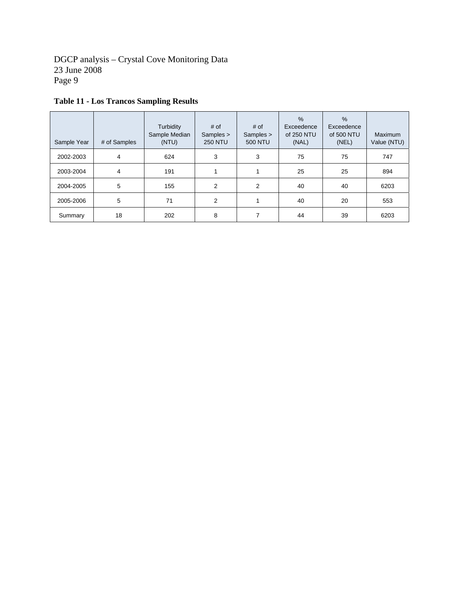| Sample Year | # of Samples | Turbidity<br>Sample Median<br>(NTU) | # of<br>Samples ><br><b>250 NTU</b> | # of<br>Samples ><br><b>500 NTU</b> | $\%$<br>Exceedence<br>of 250 NTU<br>(NAL) | $\%$<br>Exceedence<br>of 500 NTU<br>(NEL) | <b>Maximum</b><br>Value (NTU) |
|-------------|--------------|-------------------------------------|-------------------------------------|-------------------------------------|-------------------------------------------|-------------------------------------------|-------------------------------|
| 2002-2003   | 4            | 624                                 | 3                                   | 3                                   | 75                                        | 75                                        | 747                           |
| 2003-2004   | 4            | 191                                 | 1                                   |                                     | 25                                        | 25                                        | 894                           |
| 2004-2005   | 5            | 155                                 | $\overline{2}$                      | 2                                   | 40                                        | 40                                        | 6203                          |
| 2005-2006   | 5            | 71                                  | $\overline{2}$                      |                                     | 40                                        | 20                                        | 553                           |
| Summary     | 18           | 202                                 | 8                                   | 7                                   | 44                                        | 39                                        | 6203                          |

## **Table 11 - Los Trancos Sampling Results**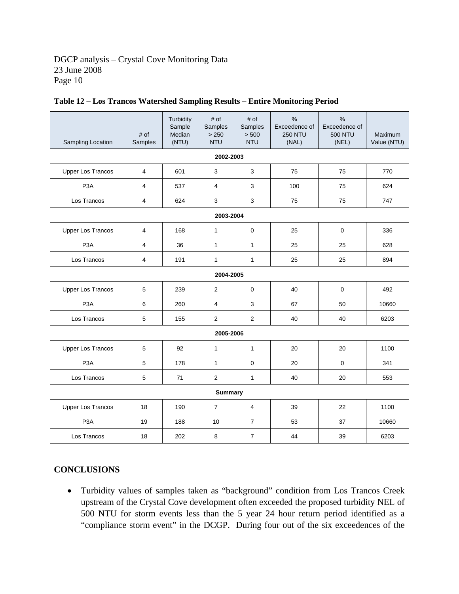| Sampling Location        | # of<br>Samples         | Turbidity<br>Sample<br>Median<br>(NTU) | # of<br>Samples<br>> 250<br><b>NTU</b> | # of<br>Samples<br>> 500<br><b>NTU</b> | $\frac{0}{0}$<br>Exceedence of<br><b>250 NTU</b><br>(NAL) | $\frac{0}{0}$<br>Exceedence of<br><b>500 NTU</b><br>(NEL) | Maximum<br>Value (NTU) |  |  |
|--------------------------|-------------------------|----------------------------------------|----------------------------------------|----------------------------------------|-----------------------------------------------------------|-----------------------------------------------------------|------------------------|--|--|
| 2002-2003                |                         |                                        |                                        |                                        |                                                           |                                                           |                        |  |  |
| <b>Upper Los Trancos</b> | $\overline{\mathbf{4}}$ | 601                                    | 3                                      | 3                                      | 75                                                        | 75                                                        | 770                    |  |  |
| P <sub>3</sub> A         | $\overline{\mathbf{4}}$ | 537                                    | $\overline{4}$                         | 3                                      | 100                                                       | 75                                                        | 624                    |  |  |
| Los Trancos              | 4                       | 624                                    | 3                                      | 3                                      | 75                                                        | 75                                                        | 747                    |  |  |
| 2003-2004                |                         |                                        |                                        |                                        |                                                           |                                                           |                        |  |  |
| <b>Upper Los Trancos</b> | 4                       | 168                                    | $\mathbf{1}$                           | $\mathbf 0$                            | 25                                                        | $\mathbf 0$                                               | 336                    |  |  |
| P <sub>3</sub> A         | 4                       | 36                                     | 1                                      | $\mathbf{1}$                           | 25                                                        | 25                                                        | 628                    |  |  |
| Los Trancos              | 4                       | 191                                    | $\mathbf{1}$                           | $\mathbf{1}$                           | 25                                                        | 25                                                        | 894                    |  |  |
| 2004-2005                |                         |                                        |                                        |                                        |                                                           |                                                           |                        |  |  |
| <b>Upper Los Trancos</b> | 5                       | 239                                    | $\overline{2}$                         | $\pmb{0}$                              | 40                                                        | $\mathbf 0$                                               | 492                    |  |  |
| P <sub>3</sub> A         | 6                       | 260                                    | 4                                      | 3                                      | 67                                                        | 50                                                        | 10660                  |  |  |
| Los Trancos              | 5                       | 155                                    | $\overline{2}$                         | $\overline{2}$                         | 40                                                        | 40                                                        | 6203                   |  |  |
| 2005-2006                |                         |                                        |                                        |                                        |                                                           |                                                           |                        |  |  |
| <b>Upper Los Trancos</b> | 5                       | 92                                     | $\mathbf{1}$                           | $\mathbf{1}$                           | 20                                                        | 20                                                        | 1100                   |  |  |
| P <sub>3</sub> A         | 5                       | 178                                    | $\mathbf{1}$                           | 0                                      | 20                                                        | $\mathbf 0$                                               | 341                    |  |  |
| Los Trancos              | 5                       | 71                                     | $\overline{2}$                         | $\mathbf{1}$                           | 40                                                        | 20                                                        | 553                    |  |  |
| <b>Summary</b>           |                         |                                        |                                        |                                        |                                                           |                                                           |                        |  |  |
| <b>Upper Los Trancos</b> | 18                      | 190                                    | $\overline{7}$                         | 4                                      | 39                                                        | 22                                                        | 1100                   |  |  |
| P <sub>3</sub> A         | 19                      | 188                                    | 10                                     | $\overline{7}$                         | 53                                                        | 37                                                        | 10660                  |  |  |
| Los Trancos              | 18                      | 202                                    | 8                                      | $\overline{7}$                         | 44                                                        | 39                                                        | 6203                   |  |  |

## **Table 12 – Los Trancos Watershed Sampling Results – Entire Monitoring Period**

## **CONCLUSIONS**

• Turbidity values of samples taken as "background" condition from Los Trancos Creek upstream of the Crystal Cove development often exceeded the proposed turbidity NEL of 500 NTU for storm events less than the 5 year 24 hour return period identified as a "compliance storm event" in the DCGP. During four out of the six exceedences of the